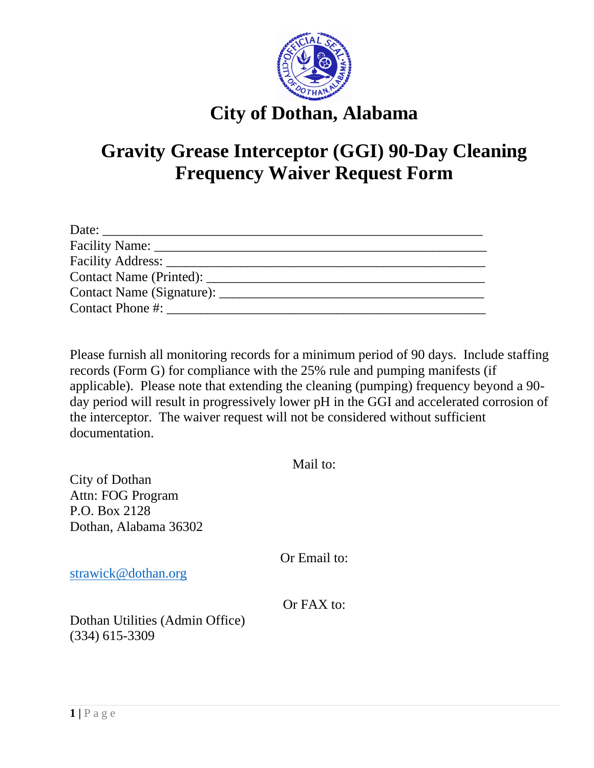

## **City of Dothan, Alabama**

## **Gravity Grease Interceptor (GGI) 90-Day Cleaning Frequency Waiver Request Form**

| Date:                             |  |
|-----------------------------------|--|
|                                   |  |
| Facility Address:                 |  |
| Contact Name (Printed): _________ |  |
| Contact Name (Signature):         |  |
| Contact Phone #:                  |  |

Please furnish all monitoring records for a minimum period of 90 days. Include staffing records (Form G) for compliance with the 25% rule and pumping manifests (if applicable). Please note that extending the cleaning (pumping) frequency beyond a 90 day period will result in progressively lower pH in the GGI and accelerated corrosion of the interceptor. The waiver request will not be considered without sufficient documentation.

| City of Dothan<br>Attn: FOG Program<br>P.O. Box 2128<br>Dothan, Alabama 36302 | Mail to:     |  |
|-------------------------------------------------------------------------------|--------------|--|
| strawick@dothan.org                                                           | Or Email to: |  |
| Dothan Utilities (Admin Office)<br>$(334)$ 615-3309                           | $Or$ FAX to: |  |